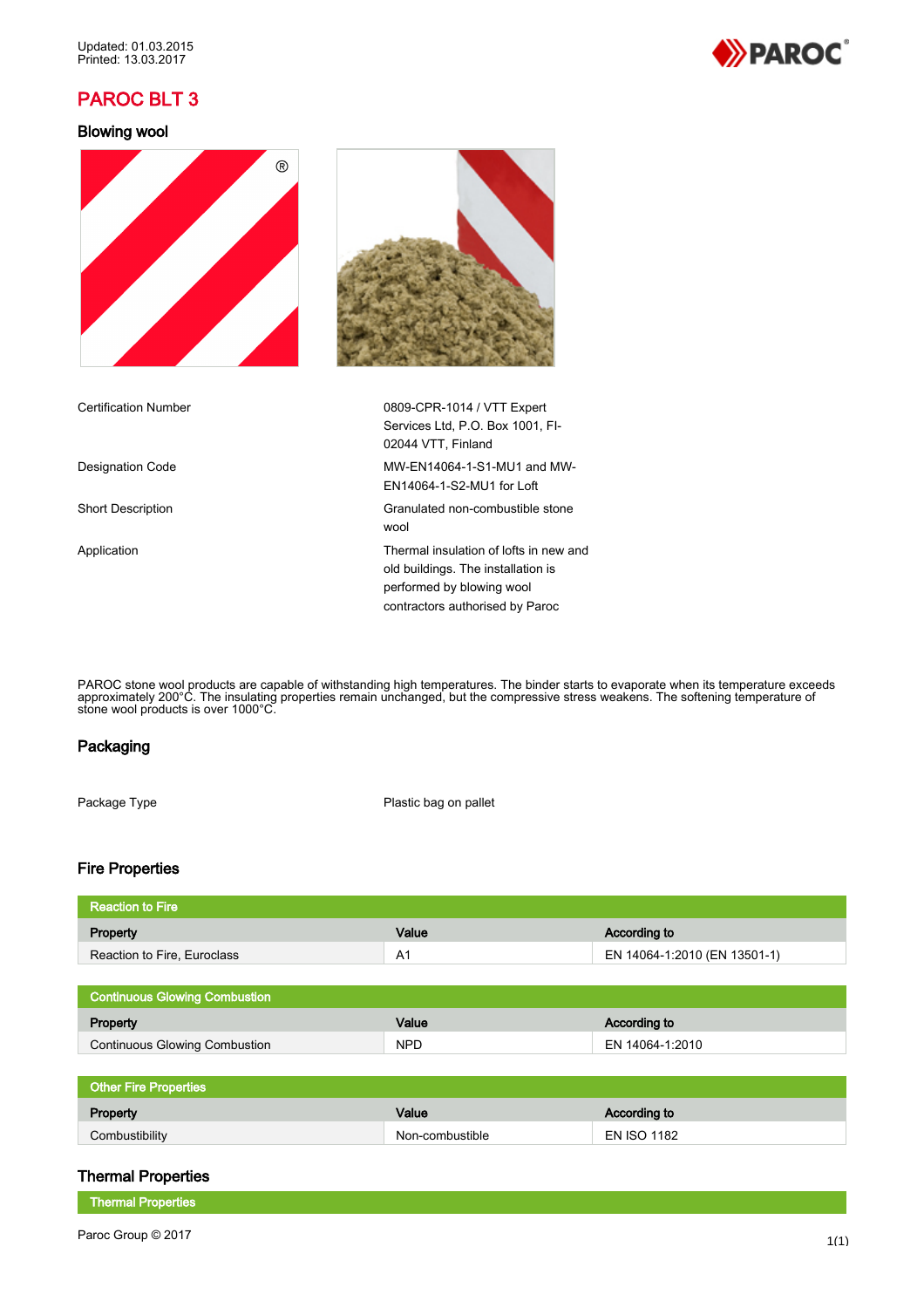# PAROC BLT 3

### Blowing wool





PAROC stone wool products are capable of withstanding high temperatures. The binder starts to evaporate when its temperature exceeds approximately 200°C. The insulating properties remain unchanged, but the compressive stress weakens. The softening temperature of stone wool products is over 1000°C.

### Packaging

Package Type **Plastic bag on pallet** 

# Fire Properties

| ' Reaction to Fire          |       |                              |
|-----------------------------|-------|------------------------------|
| Property                    | Value | According to                 |
| Reaction to Fire, Euroclass | A1    | EN 14064-1:2010 (EN 13501-1) |
|                             |       |                              |

| <b>Continuous Glowing Combustion</b> |            |                 |
|--------------------------------------|------------|-----------------|
| Property                             | Value      | According to    |
| <b>Continuous Glowing Combustion</b> | <b>NPD</b> | EN 14064-1:2010 |

# Other Fire Properties

| Property       | Value           | According to       |
|----------------|-----------------|--------------------|
| Combustibility | Non-combustible | <b>EN ISO 1182</b> |

### Thermal Properties

Thermal Properties